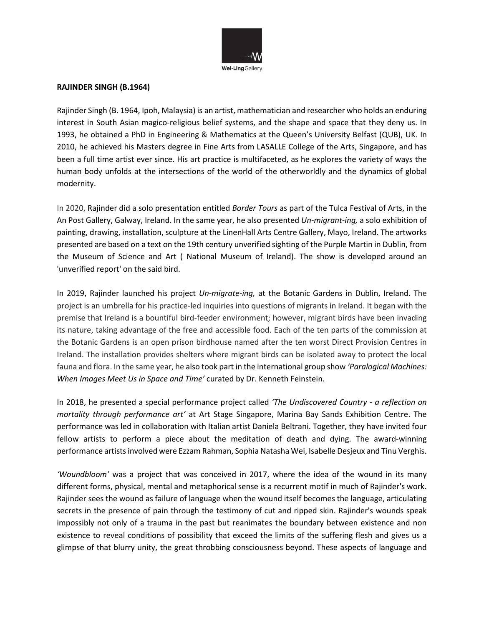

#### **RAJINDER SINGH (B.1964)**

Rajinder Singh (B. 1964, Ipoh, Malaysia) is an artist, mathematician and researcher who holds an enduring interest in South Asian magico-religious belief systems, and the shape and space that they deny us. In 1993, he obtained a PhD in Engineering & Mathematics at the Queen's University Belfast (QUB), UK. In 2010, he achieved his Masters degree in Fine Arts from LASALLE College of the Arts, Singapore, and has been a full time artist ever since. His art practice is multifaceted, as he explores the variety of ways the human body unfolds at the intersections of the world of the otherworldly and the dynamics of global modernity.

In 2020, Rajinder did a solo presentation entitled *Border Tours* as part of the Tulca Festival of Arts, in the An Post Gallery, Galway, Ireland. In the same year, he also presented *Un-migrant-ing,* a solo exhibition of painting, drawing, installation, sculpture at the LinenHall Arts Centre Gallery, Mayo, Ireland. The artworks presented are based on a text on the 19th century unverified sighting of the Purple Martin in Dublin, from the Museum of Science and Art ( National Museum of Ireland). The show is developed around an 'unverified report' on the said bird.

In 2019, Rajinder launched his project *Un-migrate-ing,* at the Botanic Gardens in Dublin, Ireland. The project is an umbrella for his practice-led inquiries into questions of migrants in Ireland. It began with the premise that Ireland is a bountiful bird-feeder environment; however, migrant birds have been invading its nature, taking advantage of the free and accessible food. Each of the ten parts of the commission at the Botanic Gardens is an open prison birdhouse named after the ten worst Direct Provision Centres in Ireland. The installation provides shelters where migrant birds can be isolated away to protect the local fauna and flora. In the same year, he also took part in the international group show *'Paralogical Machines: When Images Meet Us in Space and Time'* curated by Dr. Kenneth Feinstein.

In 2018, he presented a special performance project called *'The Undiscovered Country - a reflection on mortality through performance art'* at Art Stage Singapore, Marina Bay Sands Exhibition Centre. The performance was led in collaboration with Italian artist Daniela Beltrani. Together, they have invited four fellow artists to perform a piece about the meditation of death and dying. The award-winning performance artists involved were Ezzam Rahman, Sophia Natasha Wei, Isabelle Desjeux and Tinu Verghis.

*'Woundbloom'* was a project that was conceived in 2017, where the idea of the wound in its many different forms, physical, mental and metaphorical sense is a recurrent motif in much of Rajinder's work. Rajinder sees the wound as failure of language when the wound itself becomes the language, articulating secrets in the presence of pain through the testimony of cut and ripped skin. Rajinder's wounds speak impossibly not only of a trauma in the past but reanimates the boundary between existence and non existence to reveal conditions of possibility that exceed the limits of the suffering flesh and gives us a glimpse of that blurry unity, the great throbbing consciousness beyond. These aspects of language and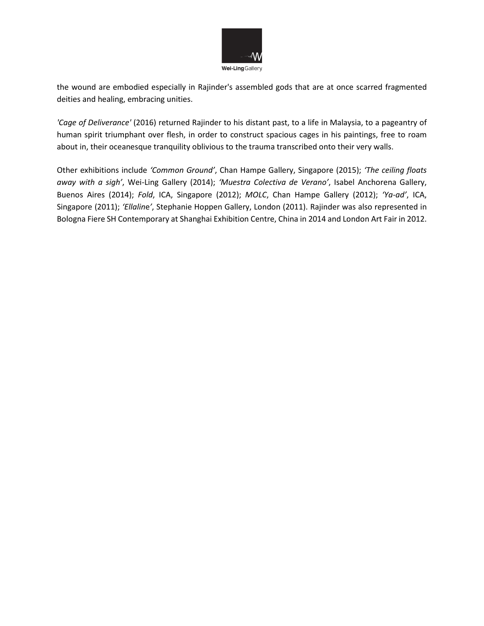

the wound are embodied especially in Rajinder's assembled gods that are at once scarred fragmented deities and healing, embracing unities.

*'Cage of Deliverance'* (2016) returned Rajinder to his distant past, to a life in Malaysia, to a pageantry of human spirit triumphant over flesh, in order to construct spacious cages in his paintings, free to roam about in, their oceanesque tranquility oblivious to the trauma transcribed onto their very walls.

Other exhibitions include *'Common Ground'*, Chan Hampe Gallery, Singapore (2015); *'The ceiling floats away with a sigh'*, Wei-Ling Gallery (2014); *'Muestra Colectiva de Verano'*, Isabel Anchorena Gallery, Buenos Aires (2014); *Fold*, ICA, Singapore (2012); *MOLC*, Chan Hampe Gallery (2012); *'Ya-ad'*, ICA, Singapore (2011); *'Ellalin*e*'*, Stephanie Hoppen Gallery, London (2011). Rajinder was also represented in Bologna Fiere SH Contemporary at Shanghai Exhibition Centre, China in 2014 and London Art Fair in 2012.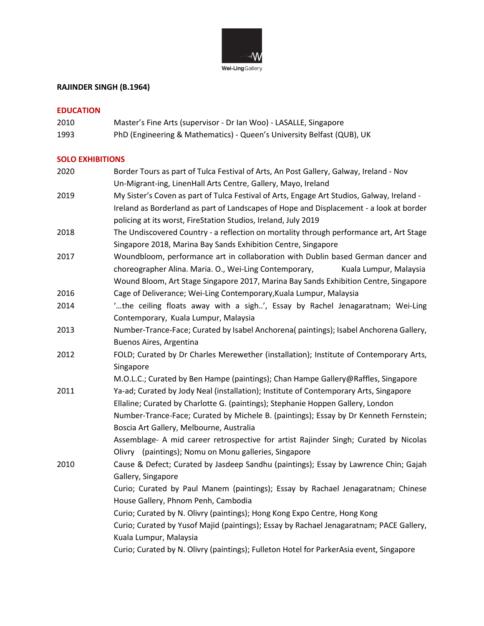

# **RAJINDER SINGH (B.1964)**

## **EDUCATION**

2010 Master's Fine Arts (supervisor - Dr Ian Woo) - LASALLE, Singapore 1993 PhD (Engineering & Mathematics) - Queen's University Belfast (QUB), UK

## **SOLO EXHIBITIONS**

| 2020 | Border Tours as part of Tulca Festival of Arts, An Post Gallery, Galway, Ireland - Nov     |
|------|--------------------------------------------------------------------------------------------|
|      | Un-Migrant-ing, LinenHall Arts Centre, Gallery, Mayo, Ireland                              |
| 2019 | My Sister's Coven as part of Tulca Festival of Arts, Engage Art Studios, Galway, Ireland - |
|      | Ireland as Borderland as part of Landscapes of Hope and Displacement - a look at border    |
|      | policing at its worst, FireStation Studios, Ireland, July 2019                             |
| 2018 | The Undiscovered Country - a reflection on mortality through performance art, Art Stage    |
|      | Singapore 2018, Marina Bay Sands Exhibition Centre, Singapore                              |
| 2017 | Woundbloom, performance art in collaboration with Dublin based German dancer and           |
|      | choreographer Alina. Maria. O., Wei-Ling Contemporary,<br>Kuala Lumpur, Malaysia           |
|      | Wound Bloom, Art Stage Singapore 2017, Marina Bay Sands Exhibition Centre, Singapore       |
| 2016 | Cage of Deliverance; Wei-Ling Contemporary, Kuala Lumpur, Malaysia                         |
| 2014 | "the ceiling floats away with a sigh', Essay by Rachel Jenagaratnam; Wei-Ling              |
|      | Contemporary, Kuala Lumpur, Malaysia                                                       |
| 2013 | Number-Trance-Face; Curated by Isabel Anchorena( paintings); Isabel Anchorena Gallery,     |
|      | Buenos Aires, Argentina                                                                    |
| 2012 | FOLD; Curated by Dr Charles Merewether (installation); Institute of Contemporary Arts,     |
|      | Singapore                                                                                  |
|      | M.O.L.C.; Curated by Ben Hampe (paintings); Chan Hampe Gallery@Raffles, Singapore          |
| 2011 | Ya-ad; Curated by Jody Neal (installation); Institute of Contemporary Arts, Singapore      |
|      | Ellaline; Curated by Charlotte G. (paintings); Stephanie Hoppen Gallery, London            |
|      | Number-Trance-Face; Curated by Michele B. (paintings); Essay by Dr Kenneth Fernstein;      |
|      | Boscia Art Gallery, Melbourne, Australia                                                   |
|      | Assemblage- A mid career retrospective for artist Rajinder Singh; Curated by Nicolas       |
|      | Olivry (paintings); Nomu on Monu galleries, Singapore                                      |
| 2010 | Cause & Defect; Curated by Jasdeep Sandhu (paintings); Essay by Lawrence Chin; Gajah       |
|      | Gallery, Singapore                                                                         |
|      | Curio; Curated by Paul Manem (paintings); Essay by Rachael Jenagaratnam; Chinese           |
|      | House Gallery, Phnom Penh, Cambodia                                                        |
|      | Curio; Curated by N. Olivry (paintings); Hong Kong Expo Centre, Hong Kong                  |
|      | Curio; Curated by Yusof Majid (paintings); Essay by Rachael Jenagaratnam; PACE Gallery,    |
|      | Kuala Lumpur, Malaysia                                                                     |
|      | Curio; Curated by N. Olivry (paintings); Fulleton Hotel for ParkerAsia event, Singapore    |
|      |                                                                                            |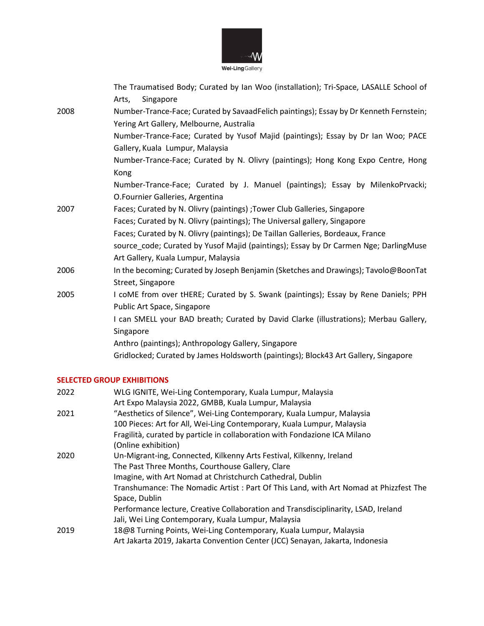

|      | The Traumatised Body; Curated by Ian Woo (installation); Tri-Space, LASALLE School of<br>Singapore<br>Arts,                        |
|------|------------------------------------------------------------------------------------------------------------------------------------|
| 2008 | Number-Trance-Face; Curated by SavaadFelich paintings); Essay by Dr Kenneth Fernstein;<br>Yering Art Gallery, Melbourne, Australia |
|      | Number-Trance-Face; Curated by Yusof Majid (paintings); Essay by Dr Ian Woo; PACE<br>Gallery, Kuala Lumpur, Malaysia               |
|      | Number-Trance-Face; Curated by N. Olivry (paintings); Hong Kong Expo Centre, Hong<br>Kong                                          |
|      | Number-Trance-Face; Curated by J. Manuel (paintings); Essay by MilenkoPrvacki;<br>O.Fournier Galleries, Argentina                  |
| 2007 | Faces; Curated by N. Olivry (paintings) ; Tower Club Galleries, Singapore                                                          |
|      | Faces; Curated by N. Olivry (paintings); The Universal gallery, Singapore                                                          |
|      | Faces; Curated by N. Olivry (paintings); De Taillan Galleries, Bordeaux, France                                                    |
|      | source_code; Curated by Yusof Majid (paintings); Essay by Dr Carmen Nge; DarlingMuse<br>Art Gallery, Kuala Lumpur, Malaysia        |
| 2006 | In the becoming; Curated by Joseph Benjamin (Sketches and Drawings); Tavolo@BoonTat<br>Street, Singapore                           |
| 2005 | I coME from over tHERE; Curated by S. Swank (paintings); Essay by Rene Daniels; PPH<br>Public Art Space, Singapore                 |
|      | I can SMELL your BAD breath; Curated by David Clarke (illustrations); Merbau Gallery,<br>Singapore                                 |
|      | Anthro (paintings); Anthropology Gallery, Singapore                                                                                |
|      | Gridlocked; Curated by James Holdsworth (paintings); Block43 Art Gallery, Singapore                                                |

# **SELECTED GROUP EXHIBITIONS**

| 2022 | WLG IGNITE, Wei-Ling Contemporary, Kuala Lumpur, Malaysia                            |
|------|--------------------------------------------------------------------------------------|
|      | Art Expo Malaysia 2022, GMBB, Kuala Lumpur, Malaysia                                 |
| 2021 | "Aesthetics of Silence", Wei-Ling Contemporary, Kuala Lumpur, Malaysia               |
|      | 100 Pieces: Art for All, Wei-Ling Contemporary, Kuala Lumpur, Malaysia               |
|      | Fragilità, curated by particle in collaboration with Fondazione ICA Milano           |
|      | (Online exhibition)                                                                  |
| 2020 | Un-Migrant-ing, Connected, Kilkenny Arts Festival, Kilkenny, Ireland                 |
|      | The Past Three Months, Courthouse Gallery, Clare                                     |
|      | Imagine, with Art Nomad at Christchurch Cathedral, Dublin                            |
|      | Transhumance: The Nomadic Artist: Part Of This Land, with Art Nomad at Phizzfest The |
|      | Space, Dublin                                                                        |
|      | Performance lecture, Creative Collaboration and Transdisciplinarity, LSAD, Ireland   |
|      | Jali, Wei Ling Contemporary, Kuala Lumpur, Malaysia                                  |
| 2019 | 18@8 Turning Points, Wei-Ling Contemporary, Kuala Lumpur, Malaysia                   |
|      | Art Jakarta 2019, Jakarta Convention Center (JCC) Senayan, Jakarta, Indonesia        |
|      |                                                                                      |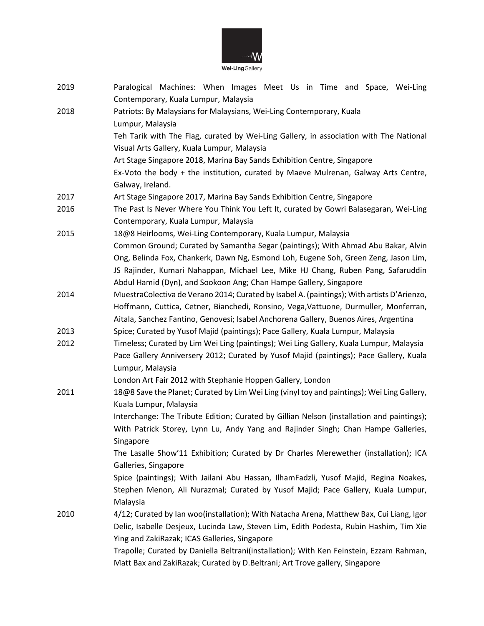

| 2019 | Paralogical Machines: When Images Meet Us in Time and Space, Wei-Ling<br>Contemporary, Kuala Lumpur, Malaysia                                                                  |
|------|--------------------------------------------------------------------------------------------------------------------------------------------------------------------------------|
| 2018 | Patriots: By Malaysians for Malaysians, Wei-Ling Contemporary, Kuala<br>Lumpur, Malaysia                                                                                       |
|      | Teh Tarik with The Flag, curated by Wei-Ling Gallery, in association with The National                                                                                         |
|      | Visual Arts Gallery, Kuala Lumpur, Malaysia                                                                                                                                    |
|      | Art Stage Singapore 2018, Marina Bay Sands Exhibition Centre, Singapore                                                                                                        |
|      | Ex-Voto the body + the institution, curated by Maeve Mulrenan, Galway Arts Centre,                                                                                             |
|      | Galway, Ireland.                                                                                                                                                               |
| 2017 | Art Stage Singapore 2017, Marina Bay Sands Exhibition Centre, Singapore                                                                                                        |
| 2016 | The Past Is Never Where You Think You Left It, curated by Gowri Balasegaran, Wei-Ling                                                                                          |
|      | Contemporary, Kuala Lumpur, Malaysia                                                                                                                                           |
| 2015 | 18@8 Heirlooms, Wei-Ling Contemporary, Kuala Lumpur, Malaysia                                                                                                                  |
|      | Common Ground; Curated by Samantha Segar (paintings); With Ahmad Abu Bakar, Alvin                                                                                              |
|      | Ong, Belinda Fox, Chankerk, Dawn Ng, Esmond Loh, Eugene Soh, Green Zeng, Jason Lim,                                                                                            |
|      | JS Rajinder, Kumari Nahappan, Michael Lee, Mike HJ Chang, Ruben Pang, Safaruddin                                                                                               |
|      | Abdul Hamid (Dyn), and Sookoon Ang; Chan Hampe Gallery, Singapore                                                                                                              |
| 2014 | MuestraColectiva de Verano 2014; Curated by Isabel A. (paintings); With artists D'Arienzo,                                                                                     |
|      | Hoffmann, Cuttica, Cetner, Bianchedi, Ronsino, Vega, Vattuone, Durmuller, Monferran,                                                                                           |
|      | Aitala, Sanchez Fantino, Genovesi; Isabel Anchorena Gallery, Buenos Aires, Argentina                                                                                           |
| 2013 | Spice; Curated by Yusof Majid (paintings); Pace Gallery, Kuala Lumpur, Malaysia                                                                                                |
| 2012 | Timeless; Curated by Lim Wei Ling (paintings); Wei Ling Gallery, Kuala Lumpur, Malaysia                                                                                        |
|      | Pace Gallery Anniversery 2012; Curated by Yusof Majid (paintings); Pace Gallery, Kuala                                                                                         |
|      | Lumpur, Malaysia                                                                                                                                                               |
|      | London Art Fair 2012 with Stephanie Hoppen Gallery, London                                                                                                                     |
| 2011 | 18@8 Save the Planet; Curated by Lim Wei Ling (vinyl toy and paintings); Wei Ling Gallery,                                                                                     |
|      | Kuala Lumpur, Malaysia                                                                                                                                                         |
|      | Interchange: The Tribute Edition; Curated by Gillian Nelson (installation and paintings);<br>With Patrick Storey, Lynn Lu, Andy Yang and Rajinder Singh; Chan Hampe Galleries, |
|      | Singapore                                                                                                                                                                      |
|      | The Lasalle Show'11 Exhibition; Curated by Dr Charles Merewether (installation); ICA                                                                                           |
|      | Galleries, Singapore                                                                                                                                                           |
|      | Spice (paintings); With Jailani Abu Hassan, IlhamFadzli, Yusof Majid, Regina Noakes,                                                                                           |
|      | Stephen Menon, Ali Nurazmal; Curated by Yusof Majid; Pace Gallery, Kuala Lumpur,                                                                                               |
|      | Malaysia                                                                                                                                                                       |
| 2010 | 4/12; Curated by Ian woo(installation); With Natacha Arena, Matthew Bax, Cui Liang, Igor                                                                                       |
|      | Delic, Isabelle Desjeux, Lucinda Law, Steven Lim, Edith Podesta, Rubin Hashim, Tim Xie                                                                                         |
|      | Ying and ZakiRazak; ICAS Galleries, Singapore                                                                                                                                  |
|      | Trapolle; Curated by Daniella Beltrani(installation); With Ken Feinstein, Ezzam Rahman,                                                                                        |
|      | Matt Bax and ZakiRazak; Curated by D.Beltrani; Art Trove gallery, Singapore                                                                                                    |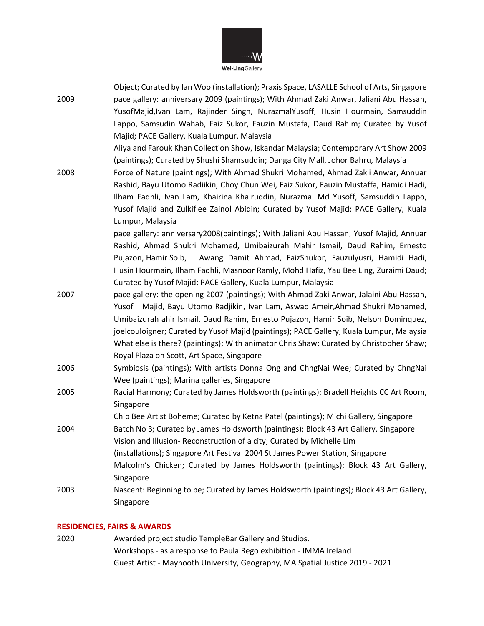

Wei-Ling Gallery

|      | Object; Curated by Ian Woo (installation); Praxis Space, LASALLE School of Arts, Singapore |
|------|--------------------------------------------------------------------------------------------|
| 2009 | pace gallery: anniversary 2009 (paintings); With Ahmad Zaki Anwar, Jaliani Abu Hassan,     |
|      | YusofMajid, Ivan Lam, Rajinder Singh, NurazmalYusoff, Husin Hourmain, Samsuddin            |
|      | Lappo, Samsudin Wahab, Faiz Sukor, Fauzin Mustafa, Daud Rahim; Curated by Yusof            |
|      | Majid; PACE Gallery, Kuala Lumpur, Malaysia                                                |
|      | Aliya and Farouk Khan Collection Show, Iskandar Malaysia; Contemporary Art Show 2009       |
|      | (paintings); Curated by Shushi Shamsuddin; Danga City Mall, Johor Bahru, Malaysia          |
| 2008 | Force of Nature (paintings); With Ahmad Shukri Mohamed, Ahmad Zakii Anwar, Annuar          |
|      | Rashid, Bayu Utomo Radiikin, Choy Chun Wei, Faiz Sukor, Fauzin Mustaffa, Hamidi Hadi,      |
|      | Ilham Fadhli, Ivan Lam, Khairina Khairuddin, Nurazmal Md Yusoff, Samsuddin Lappo,          |
|      | Yusof Majid and Zulkiflee Zainol Abidin; Curated by Yusof Majid; PACE Gallery, Kuala       |
|      | Lumpur, Malaysia                                                                           |
|      | pace gallery: anniversary2008(paintings); With Jaliani Abu Hassan, Yusof Majid, Annuar     |
|      | Rashid, Ahmad Shukri Mohamed, Umibaizurah Mahir Ismail, Daud Rahim, Ernesto                |
|      | Awang Damit Ahmad, FaizShukor, Fauzulyusri, Hamidi Hadi,<br>Pujazon, Hamir Soib,           |
|      | Husin Hourmain, Ilham Fadhli, Masnoor Ramly, Mohd Hafiz, Yau Bee Ling, Zuraimi Daud;       |
|      | Curated by Yusof Majid; PACE Gallery, Kuala Lumpur, Malaysia                               |
| 2007 | pace gallery: the opening 2007 (paintings); With Ahmad Zaki Anwar, Jalaini Abu Hassan,     |
|      | Yusof Majid, Bayu Utomo Radjikin, Ivan Lam, Aswad Ameir, Ahmad Shukri Mohamed,             |
|      | Umibaizurah ahir Ismail, Daud Rahim, Ernesto Pujazon, Hamir Soib, Nelson Dominquez,        |
|      | joelcouloigner; Curated by Yusof Majid (paintings); PACE Gallery, Kuala Lumpur, Malaysia   |
|      | What else is there? (paintings); With animator Chris Shaw; Curated by Christopher Shaw;    |
|      | Royal Plaza on Scott, Art Space, Singapore                                                 |
| 2006 | Symbiosis (paintings); With artists Donna Ong and ChngNai Wee; Curated by ChngNai          |
|      | Wee (paintings); Marina galleries, Singapore                                               |
| 2005 | Racial Harmony; Curated by James Holdsworth (paintings); Bradell Heights CC Art Room,      |
|      | Singapore                                                                                  |
|      | Chip Bee Artist Boheme; Curated by Ketna Patel (paintings); Michi Gallery, Singapore       |
| 2004 | Batch No 3; Curated by James Holdsworth (paintings); Block 43 Art Gallery, Singapore       |
|      | Vision and Illusion- Reconstruction of a city; Curated by Michelle Lim                     |
|      | (installations); Singapore Art Festival 2004 St James Power Station, Singapore             |
|      | Malcolm's Chicken; Curated by James Holdsworth (paintings); Block 43 Art Gallery,          |
|      | Singapore                                                                                  |
| 2003 | Nascent: Beginning to be; Curated by James Holdsworth (paintings); Block 43 Art Gallery,   |
|      | Singapore                                                                                  |

### **RESIDENCIES, FAIRS & AWARDS**

2020 Awarded project studio TempleBar Gallery and Studios. Workshops - as a response to Paula Rego exhibition - IMMA Ireland Guest Artist - Maynooth University, Geography, MA Spatial Justice 2019 - 2021